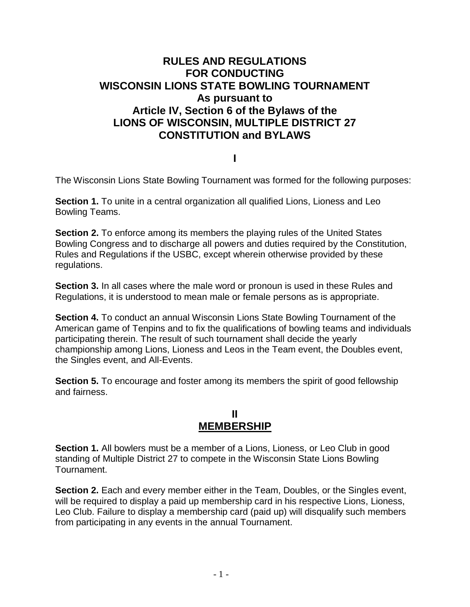# **RULES AND REGULATIONS FOR CONDUCTING WISCONSIN LIONS STATE BOWLING TOURNAMENT As pursuant to Article IV, Section 6 of the Bylaws of the LIONS OF WISCONSIN, MULTIPLE DISTRICT 27 CONSTITUTION and BYLAWS**

**I**

The Wisconsin Lions State Bowling Tournament was formed for the following purposes:

**Section 1.** To unite in a central organization all qualified Lions, Lioness and Leo Bowling Teams.

**Section 2.** To enforce among its members the playing rules of the United States Bowling Congress and to discharge all powers and duties required by the Constitution, Rules and Regulations if the USBC, except wherein otherwise provided by these regulations.

**Section 3.** In all cases where the male word or pronoun is used in these Rules and Regulations, it is understood to mean male or female persons as is appropriate.

**Section 4.** To conduct an annual Wisconsin Lions State Bowling Tournament of the American game of Tenpins and to fix the qualifications of bowling teams and individuals participating therein. The result of such tournament shall decide the yearly championship among Lions, Lioness and Leos in the Team event, the Doubles event, the Singles event, and All-Events.

**Section 5.** To encourage and foster among its members the spirit of good fellowship and fairness.

## **II MEMBERSHIP**

**Section 1.** All bowlers must be a member of a Lions, Lioness, or Leo Club in good standing of Multiple District 27 to compete in the Wisconsin State Lions Bowling Tournament.

**Section 2.** Each and every member either in the Team, Doubles, or the Singles event, will be required to display a paid up membership card in his respective Lions, Lioness, Leo Club. Failure to display a membership card (paid up) will disqualify such members from participating in any events in the annual Tournament.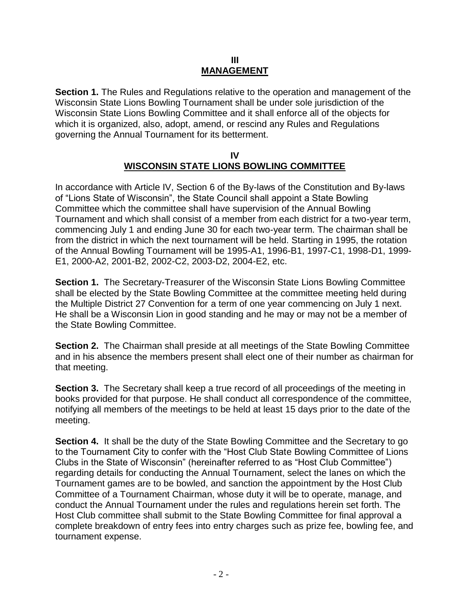#### **III MANAGEMENT**

**Section 1.** The Rules and Regulations relative to the operation and management of the Wisconsin State Lions Bowling Tournament shall be under sole jurisdiction of the Wisconsin State Lions Bowling Committee and it shall enforce all of the objects for which it is organized, also, adopt, amend, or rescind any Rules and Regulations governing the Annual Tournament for its betterment.

#### **IV WISCONSIN STATE LIONS BOWLING COMMITTEE**

In accordance with Article IV, Section 6 of the By-laws of the Constitution and By-laws of "Lions State of Wisconsin", the State Council shall appoint a State Bowling Committee which the committee shall have supervision of the Annual Bowling Tournament and which shall consist of a member from each district for a two-year term, commencing July 1 and ending June 30 for each two-year term. The chairman shall be from the district in which the next tournament will be held. Starting in 1995, the rotation of the Annual Bowling Tournament will be 1995-A1, 1996-B1, 1997-C1, 1998-D1, 1999- E1, 2000-A2, 2001-B2, 2002-C2, 2003-D2, 2004-E2, etc.

**Section 1.** The Secretary-Treasurer of the Wisconsin State Lions Bowling Committee shall be elected by the State Bowling Committee at the committee meeting held during the Multiple District 27 Convention for a term of one year commencing on July 1 next. He shall be a Wisconsin Lion in good standing and he may or may not be a member of the State Bowling Committee.

**Section 2.** The Chairman shall preside at all meetings of the State Bowling Committee and in his absence the members present shall elect one of their number as chairman for that meeting.

**Section 3.** The Secretary shall keep a true record of all proceedings of the meeting in books provided for that purpose. He shall conduct all correspondence of the committee, notifying all members of the meetings to be held at least 15 days prior to the date of the meeting.

**Section 4.** It shall be the duty of the State Bowling Committee and the Secretary to go to the Tournament City to confer with the "Host Club State Bowling Committee of Lions Clubs in the State of Wisconsin" (hereinafter referred to as "Host Club Committee") regarding details for conducting the Annual Tournament, select the lanes on which the Tournament games are to be bowled, and sanction the appointment by the Host Club Committee of a Tournament Chairman, whose duty it will be to operate, manage, and conduct the Annual Tournament under the rules and regulations herein set forth. The Host Club committee shall submit to the State Bowling Committee for final approval a complete breakdown of entry fees into entry charges such as prize fee, bowling fee, and tournament expense.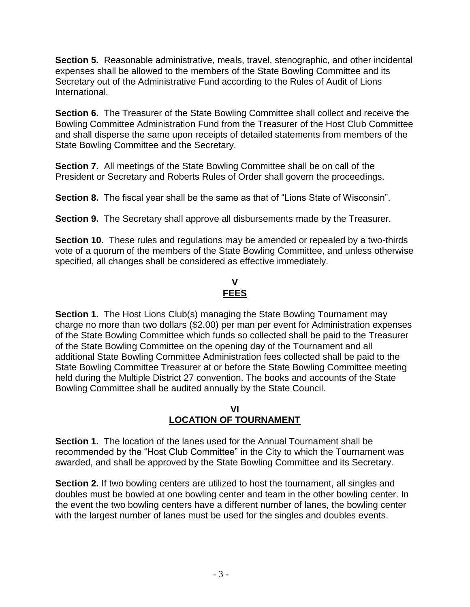**Section 5.** Reasonable administrative, meals, travel, stenographic, and other incidental expenses shall be allowed to the members of the State Bowling Committee and its Secretary out of the Administrative Fund according to the Rules of Audit of Lions International.

**Section 6.** The Treasurer of the State Bowling Committee shall collect and receive the Bowling Committee Administration Fund from the Treasurer of the Host Club Committee and shall disperse the same upon receipts of detailed statements from members of the State Bowling Committee and the Secretary.

**Section 7.** All meetings of the State Bowling Committee shall be on call of the President or Secretary and Roberts Rules of Order shall govern the proceedings.

**Section 8.** The fiscal year shall be the same as that of "Lions State of Wisconsin".

**Section 9.** The Secretary shall approve all disbursements made by the Treasurer.

**Section 10.** These rules and regulations may be amended or repealed by a two-thirds vote of a quorum of the members of the State Bowling Committee, and unless otherwise specified, all changes shall be considered as effective immediately.

### **V FEES**

**Section 1.** The Host Lions Club(s) managing the State Bowling Tournament may charge no more than two dollars (\$2.00) per man per event for Administration expenses of the State Bowling Committee which funds so collected shall be paid to the Treasurer of the State Bowling Committee on the opening day of the Tournament and all additional State Bowling Committee Administration fees collected shall be paid to the State Bowling Committee Treasurer at or before the State Bowling Committee meeting held during the Multiple District 27 convention. The books and accounts of the State Bowling Committee shall be audited annually by the State Council.

### **VI LOCATION OF TOURNAMENT**

**Section 1.** The location of the lanes used for the Annual Tournament shall be recommended by the "Host Club Committee" in the City to which the Tournament was awarded, and shall be approved by the State Bowling Committee and its Secretary.

**Section 2.** If two bowling centers are utilized to host the tournament, all singles and doubles must be bowled at one bowling center and team in the other bowling center. In the event the two bowling centers have a different number of lanes, the bowling center with the largest number of lanes must be used for the singles and doubles events.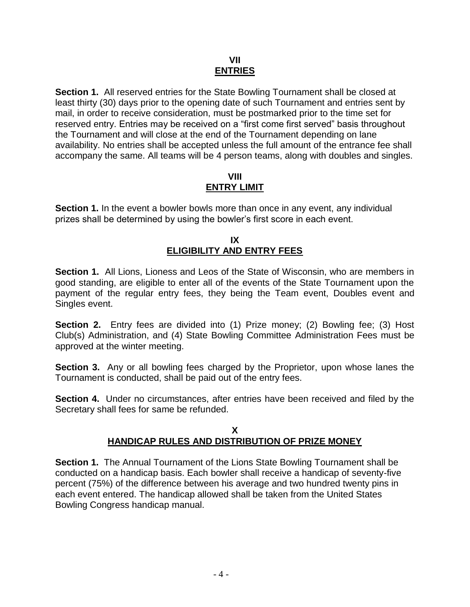### **VII ENTRIES**

**Section 1.** All reserved entries for the State Bowling Tournament shall be closed at least thirty (30) days prior to the opening date of such Tournament and entries sent by mail, in order to receive consideration, must be postmarked prior to the time set for reserved entry. Entries may be received on a "first come first served" basis throughout the Tournament and will close at the end of the Tournament depending on lane availability. No entries shall be accepted unless the full amount of the entrance fee shall accompany the same. All teams will be 4 person teams, along with doubles and singles.

### **VIII ENTRY LIMIT**

**Section 1.** In the event a bowler bowls more than once in any event, any individual prizes shall be determined by using the bowler's first score in each event.

### **IX ELIGIBILITY AND ENTRY FEES**

**Section 1.** All Lions, Lioness and Leos of the State of Wisconsin, who are members in good standing, are eligible to enter all of the events of the State Tournament upon the payment of the regular entry fees, they being the Team event, Doubles event and Singles event.

**Section 2.** Entry fees are divided into (1) Prize money; (2) Bowling fee; (3) Host Club(s) Administration, and (4) State Bowling Committee Administration Fees must be approved at the winter meeting.

**Section 3.** Any or all bowling fees charged by the Proprietor, upon whose lanes the Tournament is conducted, shall be paid out of the entry fees.

**Section 4.** Under no circumstances, after entries have been received and filed by the Secretary shall fees for same be refunded.

#### **X HANDICAP RULES AND DISTRIBUTION OF PRIZE MONEY**

**Section 1.** The Annual Tournament of the Lions State Bowling Tournament shall be conducted on a handicap basis. Each bowler shall receive a handicap of seventy-five percent (75%) of the difference between his average and two hundred twenty pins in each event entered. The handicap allowed shall be taken from the United States Bowling Congress handicap manual.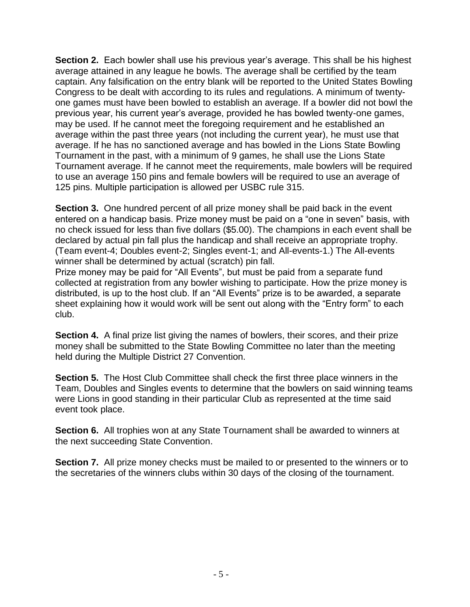**Section 2.** Each bowler shall use his previous year's average. This shall be his highest average attained in any league he bowls. The average shall be certified by the team captain. Any falsification on the entry blank will be reported to the United States Bowling Congress to be dealt with according to its rules and regulations. A minimum of twentyone games must have been bowled to establish an average. If a bowler did not bowl the previous year, his current year's average, provided he has bowled twenty-one games, may be used. If he cannot meet the foregoing requirement and he established an average within the past three years (not including the current year), he must use that average. If he has no sanctioned average and has bowled in the Lions State Bowling Tournament in the past, with a minimum of 9 games, he shall use the Lions State Tournament average. If he cannot meet the requirements, male bowlers will be required to use an average 150 pins and female bowlers will be required to use an average of 125 pins. Multiple participation is allowed per USBC rule 315.

**Section 3.** One hundred percent of all prize money shall be paid back in the event entered on a handicap basis. Prize money must be paid on a "one in seven" basis, with no check issued for less than five dollars (\$5.00). The champions in each event shall be declared by actual pin fall plus the handicap and shall receive an appropriate trophy. (Team event-4; Doubles event-2; Singles event-1; and All-events-1.) The All-events winner shall be determined by actual (scratch) pin fall.

Prize money may be paid for "All Events", but must be paid from a separate fund collected at registration from any bowler wishing to participate. How the prize money is distributed, is up to the host club. If an "All Events" prize is to be awarded, a separate sheet explaining how it would work will be sent out along with the "Entry form" to each club.

**Section 4.** A final prize list giving the names of bowlers, their scores, and their prize money shall be submitted to the State Bowling Committee no later than the meeting held during the Multiple District 27 Convention.

**Section 5.** The Host Club Committee shall check the first three place winners in the Team, Doubles and Singles events to determine that the bowlers on said winning teams were Lions in good standing in their particular Club as represented at the time said event took place.

**Section 6.** All trophies won at any State Tournament shall be awarded to winners at the next succeeding State Convention.

**Section 7.** All prize money checks must be mailed to or presented to the winners or to the secretaries of the winners clubs within 30 days of the closing of the tournament.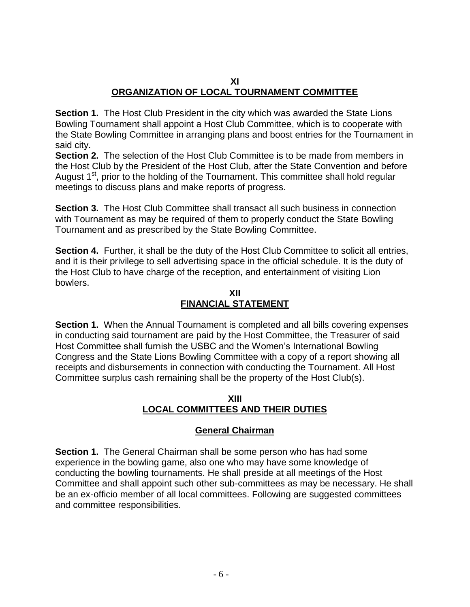### **XI ORGANIZATION OF LOCAL TOURNAMENT COMMITTEE**

**Section 1.** The Host Club President in the city which was awarded the State Lions Bowling Tournament shall appoint a Host Club Committee, which is to cooperate with the State Bowling Committee in arranging plans and boost entries for the Tournament in said city.

**Section 2.** The selection of the Host Club Committee is to be made from members in the Host Club by the President of the Host Club, after the State Convention and before August  $1<sup>st</sup>$ , prior to the holding of the Tournament. This committee shall hold regular meetings to discuss plans and make reports of progress.

**Section 3.** The Host Club Committee shall transact all such business in connection with Tournament as may be required of them to properly conduct the State Bowling Tournament and as prescribed by the State Bowling Committee.

**Section 4.** Further, it shall be the duty of the Host Club Committee to solicit all entries, and it is their privilege to sell advertising space in the official schedule. It is the duty of the Host Club to have charge of the reception, and entertainment of visiting Lion bowlers.

### **XII FINANCIAL STATEMENT**

**Section 1.** When the Annual Tournament is completed and all bills covering expenses in conducting said tournament are paid by the Host Committee, the Treasurer of said Host Committee shall furnish the USBC and the Women's International Bowling Congress and the State Lions Bowling Committee with a copy of a report showing all receipts and disbursements in connection with conducting the Tournament. All Host Committee surplus cash remaining shall be the property of the Host Club(s).

### **XIII LOCAL COMMITTEES AND THEIR DUTIES**

## **General Chairman**

**Section 1.** The General Chairman shall be some person who has had some experience in the bowling game, also one who may have some knowledge of conducting the bowling tournaments. He shall preside at all meetings of the Host Committee and shall appoint such other sub-committees as may be necessary. He shall be an ex-officio member of all local committees. Following are suggested committees and committee responsibilities.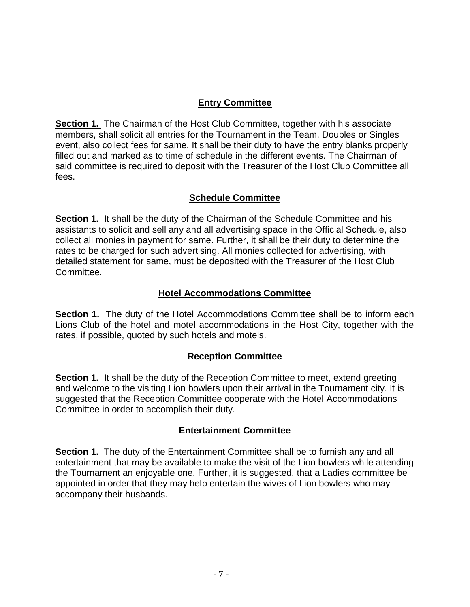### **Entry Committee**

**Section 1.** The Chairman of the Host Club Committee, together with his associate members, shall solicit all entries for the Tournament in the Team, Doubles or Singles event, also collect fees for same. It shall be their duty to have the entry blanks properly filled out and marked as to time of schedule in the different events. The Chairman of said committee is required to deposit with the Treasurer of the Host Club Committee all fees.

### **Schedule Committee**

**Section 1.** It shall be the duty of the Chairman of the Schedule Committee and his assistants to solicit and sell any and all advertising space in the Official Schedule, also collect all monies in payment for same. Further, it shall be their duty to determine the rates to be charged for such advertising. All monies collected for advertising, with detailed statement for same, must be deposited with the Treasurer of the Host Club Committee.

### **Hotel Accommodations Committee**

**Section 1.** The duty of the Hotel Accommodations Committee shall be to inform each Lions Club of the hotel and motel accommodations in the Host City, together with the rates, if possible, quoted by such hotels and motels.

### **Reception Committee**

**Section 1.** It shall be the duty of the Reception Committee to meet, extend greeting and welcome to the visiting Lion bowlers upon their arrival in the Tournament city. It is suggested that the Reception Committee cooperate with the Hotel Accommodations Committee in order to accomplish their duty.

### **Entertainment Committee**

**Section 1.** The duty of the Entertainment Committee shall be to furnish any and all entertainment that may be available to make the visit of the Lion bowlers while attending the Tournament an enjoyable one. Further, it is suggested, that a Ladies committee be appointed in order that they may help entertain the wives of Lion bowlers who may accompany their husbands.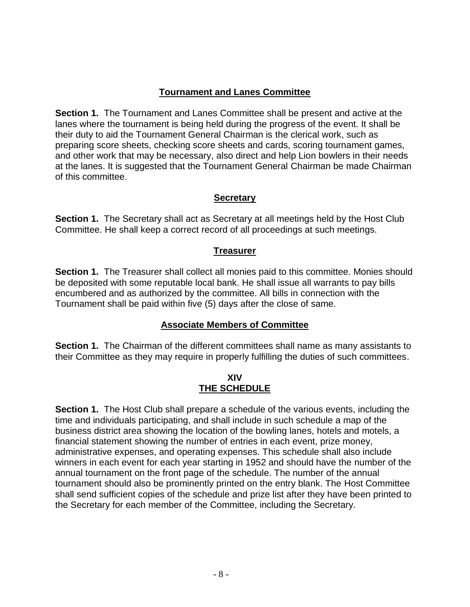## **Tournament and Lanes Committee**

**Section 1.** The Tournament and Lanes Committee shall be present and active at the lanes where the tournament is being held during the progress of the event. It shall be their duty to aid the Tournament General Chairman is the clerical work, such as preparing score sheets, checking score sheets and cards, scoring tournament games, and other work that may be necessary, also direct and help Lion bowlers in their needs at the lanes. It is suggested that the Tournament General Chairman be made Chairman of this committee.

### **Secretary**

**Section 1.** The Secretary shall act as Secretary at all meetings held by the Host Club Committee. He shall keep a correct record of all proceedings at such meetings.

### **Treasurer**

**Section 1.** The Treasurer shall collect all monies paid to this committee. Monies should be deposited with some reputable local bank. He shall issue all warrants to pay bills encumbered and as authorized by the committee. All bills in connection with the Tournament shall be paid within five (5) days after the close of same.

### **Associate Members of Committee**

**Section 1.** The Chairman of the different committees shall name as many assistants to their Committee as they may require in properly fulfilling the duties of such committees.

#### **XIV THE SCHEDULE**

**Section 1.** The Host Club shall prepare a schedule of the various events, including the time and individuals participating, and shall include in such schedule a map of the business district area showing the location of the bowling lanes, hotels and motels, a financial statement showing the number of entries in each event, prize money, administrative expenses, and operating expenses. This schedule shall also include winners in each event for each year starting in 1952 and should have the number of the annual tournament on the front page of the schedule. The number of the annual tournament should also be prominently printed on the entry blank. The Host Committee shall send sufficient copies of the schedule and prize list after they have been printed to the Secretary for each member of the Committee, including the Secretary.